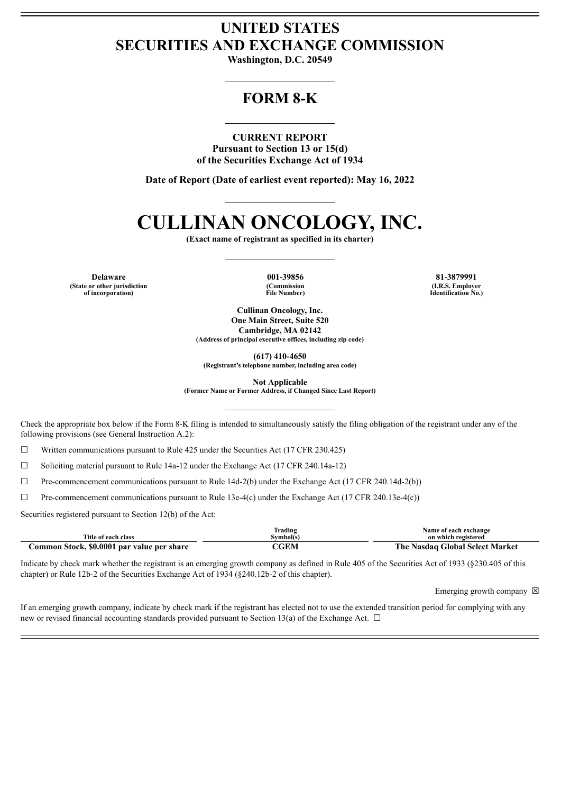## **UNITED STATES SECURITIES AND EXCHANGE COMMISSION**

**Washington, D.C. 20549**

## **FORM 8-K**

#### **CURRENT REPORT**

**Pursuant to Section 13 or 15(d) of the Securities Exchange Act of 1934**

**Date of Report (Date of earliest event reported): May 16, 2022**

# **CULLINAN ONCOLOGY, INC.**

**(Exact name of registrant as specified in its charter)**

**Delaware 001-39856 81-3879991 (State or other jurisdiction of incorporation)**

**(Commission File Number)**

**(I.R.S. Employer Identification No.)**

**Cullinan Oncology, Inc. One Main Street, Suite 520 Cambridge, MA 02142 (Address of principal executive offices, including zip code)**

**(617) 410-4650**

**(Registrant's telephone number, including area code)**

**Not Applicable**

**(Former Name or Former Address, if Changed Since Last Report)**

Check the appropriate box below if the Form 8-K filing is intended to simultaneously satisfy the filing obligation of the registrant under any of the following provisions (see General Instruction A.2):

 $\Box$  Written communications pursuant to Rule 425 under the Securities Act (17 CFR 230.425)

☐ Soliciting material pursuant to Rule 14a-12 under the Exchange Act (17 CFR 240.14a-12)

 $\Box$  Pre-commencement communications pursuant to Rule 14d-2(b) under the Exchange Act (17 CFR 240.14d-2(b))

☐ Pre-commencement communications pursuant to Rule 13e-4(c) under the Exchange Act (17 CFR 240.13e-4(c))

Securities registered pursuant to Section 12(b) of the Act:

|                                            | <b>Trading</b> | Name of each exchange           |
|--------------------------------------------|----------------|---------------------------------|
| Title of each class                        | Svmbol(s)      | on which registered             |
| Common Stock, \$0.0001 par value per share | CGEM           | The Nasdaq Global Select Market |

Indicate by check mark whether the registrant is an emerging growth company as defined in Rule 405 of the Securities Act of 1933 (§230.405 of this chapter) or Rule 12b-2 of the Securities Exchange Act of 1934 (§240.12b-2 of this chapter).

Emerging growth company  $\boxtimes$ 

If an emerging growth company, indicate by check mark if the registrant has elected not to use the extended transition period for complying with any new or revised financial accounting standards provided pursuant to Section 13(a) of the Exchange Act.  $\Box$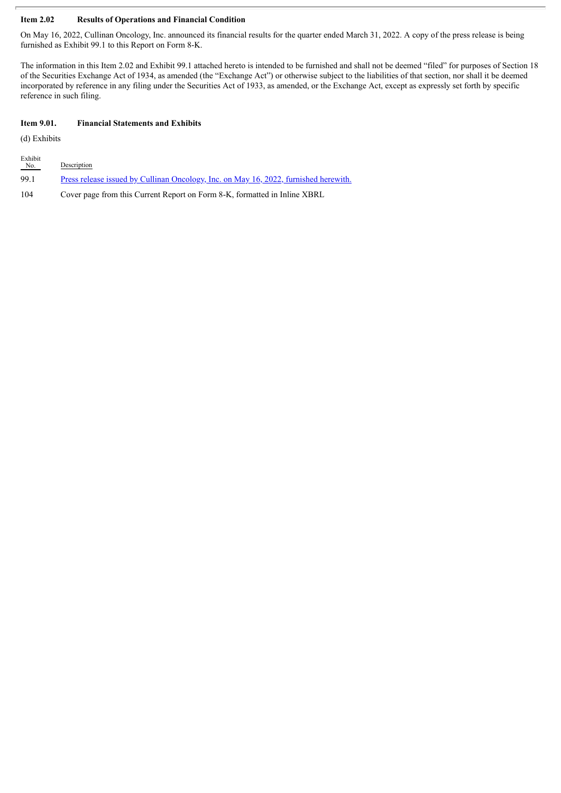#### **Item 2.02 Results of Operations and Financial Condition**

On May 16, 2022, Cullinan Oncology, Inc. announced its financial results for the quarter ended March 31, 2022. A copy of the press release is being furnished as Exhibit 99.1 to this Report on Form 8-K.

The information in this Item 2.02 and Exhibit 99.1 attached hereto is intended to be furnished and shall not be deemed "filed" for purposes of Section 18 of the Securities Exchange Act of 1934, as amended (the "Exchange Act") or otherwise subject to the liabilities of that section, nor shall it be deemed incorporated by reference in any filing under the Securities Act of 1933, as amended, or the Exchange Act, except as expressly set forth by specific reference in such filing.

#### **Item 9.01. Financial Statements and Exhibits**

(d) Exhibits

| Exhibit<br>No. | Description                                                                                 |
|----------------|---------------------------------------------------------------------------------------------|
| 99.1           | <u>Press release issued by Cullinan Oncology, Inc. on May 16, 2022, furnished herewith.</u> |
| 104            | Cover page from this Current Report on Form 8-K, formatted in Inline XBRL                   |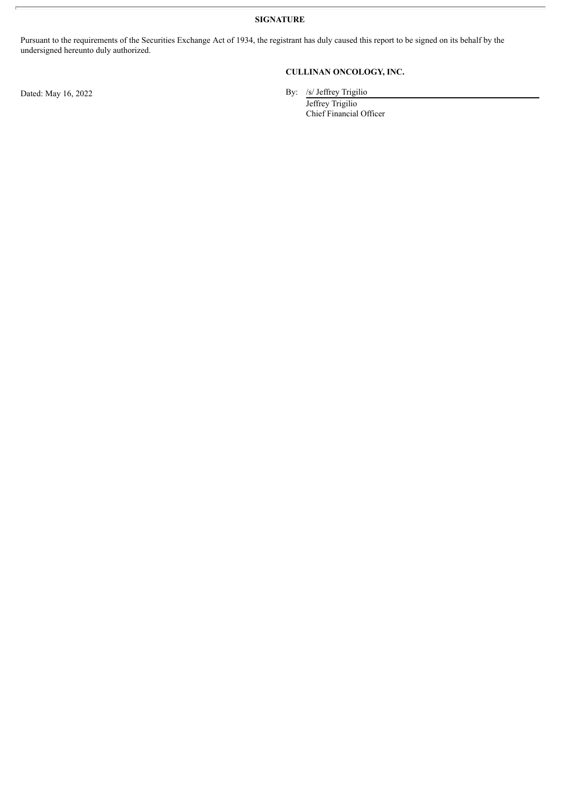**SIGNATURE**

Pursuant to the requirements of the Securities Exchange Act of 1934, the registrant has duly caused this report to be signed on its behalf by the undersigned hereunto duly authorized.

### **CULLINAN ONCOLOGY, INC.**

Dated: May 16, 2022 By: /s/ Jeffrey Trigilio

Jeffrey Trigilio Chief Financial Officer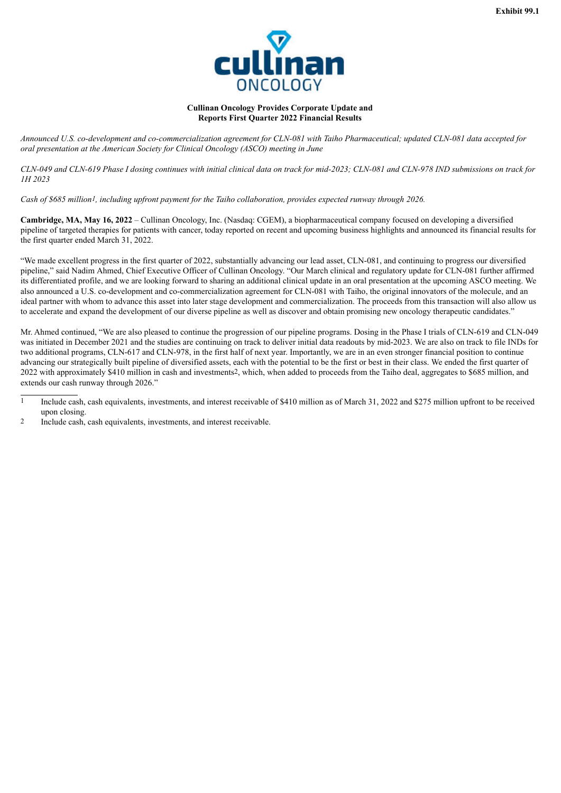

#### **Cullinan Oncology Provides Corporate Update and Reports First Quarter 2022 Financial Results**

<span id="page-3-0"></span>Announced U.S. co-development and co-commercialization agreement for CLN-081 with Taiho Pharmaceutical; updated CLN-081 data accepted for *oral presentation at the American Society for Clinical Oncology (ASCO) meeting in June*

CLN-049 and CLN-619 Phase I dosing continues with initial clinical data on track for mid-2023; CLN-081 and CLN-978 IND submissions on track for *1H 2023*

Cash of \$685 million1, including upfront payment for the Taiho collaboration, provides expected runway through 2026.

**Cambridge, MA, May 16, 2022** – Cullinan Oncology, Inc. (Nasdaq: CGEM), a biopharmaceutical company focused on developing a diversified pipeline of targeted therapies for patients with cancer, today reported on recent and upcoming business highlights and announced its financial results for the first quarter ended March 31, 2022.

"We made excellent progress in the first quarter of 2022, substantially advancing our lead asset, CLN-081, and continuing to progress our diversified pipeline," said Nadim Ahmed, Chief Executive Officer of Cullinan Oncology. "Our March clinical and regulatory update for CLN-081 further affirmed its differentiated profile, and we are looking forward to sharing an additional clinical update in an oral presentation at the upcoming ASCO meeting. We also announced a U.S. co-development and co-commercialization agreement for CLN-081 with Taiho, the original innovators of the molecule, and an ideal partner with whom to advance this asset into later stage development and commercialization. The proceeds from this transaction will also allow us to accelerate and expand the development of our diverse pipeline as well as discover and obtain promising new oncology therapeutic candidates."

Mr. Ahmed continued, "We are also pleased to continue the progression of our pipeline programs. Dosing in the Phase I trials of CLN-619 and CLN-049 was initiated in December 2021 and the studies are continuing on track to deliver initial data readouts by mid-2023. We are also on track to file INDs for two additional programs, CLN-617 and CLN-978, in the first half of next year. Importantly, we are in an even stronger financial position to continue advancing our strategically built pipeline of diversified assets, each with the potential to be the first or best in their class. We ended the first quarter of 2022 with approximately \$410 million in cash and investments2, which, when added to proceeds from the Taiho deal, aggregates to \$685 million, and extends our cash runway through 2026."

2 Include cash, cash equivalents, investments, and interest receivable.

Include cash, cash equivalents, investments, and interest receivable of \$410 million as of March 31, 2022 and \$275 million upfront to be received upon closing.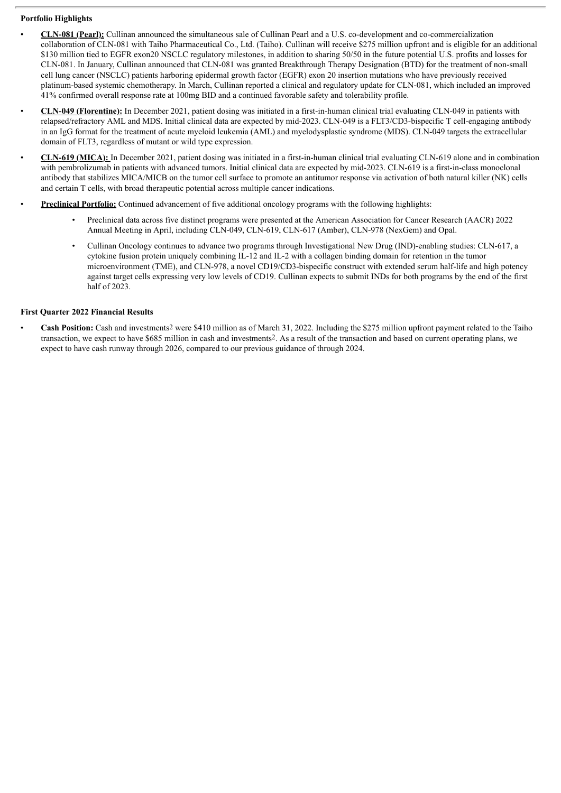#### **Portfolio Highlights**

- **CLN-081 (Pearl):** Cullinan announced the simultaneous sale of Cullinan Pearl and a U.S. co-development and co-commercialization collaboration of CLN-081 with Taiho Pharmaceutical Co., Ltd. (Taiho). Cullinan will receive \$275 million upfront and is eligible for an additional \$130 million tied to EGFR exon20 NSCLC regulatory milestones, in addition to sharing 50/50 in the future potential U.S. profits and losses for CLN-081. In January, Cullinan announced that CLN-081 was granted Breakthrough Therapy Designation (BTD) for the treatment of non-small cell lung cancer (NSCLC) patients harboring epidermal growth factor (EGFR) exon 20 insertion mutations who have previously received platinum-based systemic chemotherapy. In March, Cullinan reported a clinical and regulatory update for CLN-081, which included an improved 41% confirmed overall response rate at 100mg BID and a continued favorable safety and tolerability profile.
- **CLN-049 (Florentine):** In December 2021, patient dosing was initiated in a first-in-human clinical trial evaluating CLN-049 in patients with relapsed/refractory AML and MDS. Initial clinical data are expected by mid-2023. CLN-049 is a FLT3/CD3-bispecific T cell-engaging antibody in an IgG format for the treatment of acute myeloid leukemia (AML) and myelodysplastic syndrome (MDS). CLN-049 targets the extracellular domain of FLT3, regardless of mutant or wild type expression.
- **CLN-619 (MICA):** In December 2021, patient dosing was initiated in a first-in-human clinical trial evaluating CLN-619 alone and in combination with pembrolizumab in patients with advanced tumors. Initial clinical data are expected by mid-2023. CLN-619 is a first-in-class monoclonal antibody that stabilizes MICA/MICB on the tumor cell surface to promote an antitumor response via activation of both natural killer (NK) cells and certain T cells, with broad therapeutic potential across multiple cancer indications.
- **Preclinical Portfolio:** Continued advancement of five additional oncology programs with the following highlights:
	- Preclinical data across five distinct programs were presented at the American Association for Cancer Research (AACR) 2022 Annual Meeting in April, including CLN-049, CLN-619, CLN-617 (Amber), CLN-978 (NexGem) and Opal.
	- Cullinan Oncology continues to advance two programs through Investigational New Drug (IND)-enabling studies: CLN-617, a cytokine fusion protein uniquely combining IL-12 and IL-2 with a collagen binding domain for retention in the tumor microenvironment (TME), and CLN-978, a novel CD19/CD3-bispecific construct with extended serum half-life and high potency against target cells expressing very low levels of CD19. Cullinan expects to submit INDs for both programs by the end of the first half of 2023.

#### **First Quarter 2022 Financial Results**

• **Cash Position:** Cash and investments2 were \$410 million as of March 31, 2022. Including the \$275 million upfront payment related to the Taiho transaction, we expect to have \$685 million in cash and investments2. As a result of the transaction and based on current operating plans, we expect to have cash runway through 2026, compared to our previous guidance of through 2024.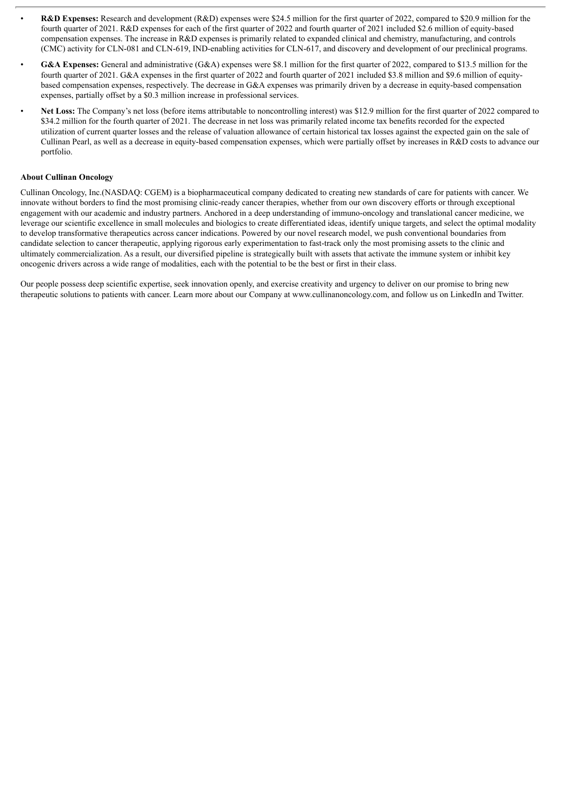- **R&D Expenses:** Research and development (R&D) expenses were \$24.5 million for the first quarter of 2022, compared to \$20.9 million for the fourth quarter of 2021. R&D expenses for each of the first quarter of 2022 and fourth quarter of 2021 included \$2.6 million of equity-based compensation expenses. The increase in R&D expenses is primarily related to expanded clinical and chemistry, manufacturing, and controls (CMC) activity for CLN-081 and CLN-619, IND-enabling activities for CLN-617, and discovery and development of our preclinical programs.
- **G&A Expenses:** General and administrative (G&A) expenses were \$8.1 million for the first quarter of 2022, compared to \$13.5 million for the fourth quarter of 2021. G&A expenses in the first quarter of 2022 and fourth quarter of 2021 included \$3.8 million and \$9.6 million of equitybased compensation expenses, respectively. The decrease in G&A expenses was primarily driven by a decrease in equity-based compensation expenses, partially offset by a \$0.3 million increase in professional services.
- **Net Loss:** The Company's net loss (before items attributable to noncontrolling interest) was \$12.9 million for the first quarter of 2022 compared to \$34.2 million for the fourth quarter of 2021. The decrease in net loss was primarily related income tax benefits recorded for the expected utilization of current quarter losses and the release of valuation allowance of certain historical tax losses against the expected gain on the sale of Cullinan Pearl, as well as a decrease in equity-based compensation expenses, which were partially offset by increases in R&D costs to advance our portfolio.

#### **About Cullinan Oncology**

Cullinan Oncology, Inc.(NASDAQ: CGEM) is a biopharmaceutical company dedicated to creating new standards of care for patients with cancer. We innovate without borders to find the most promising clinic-ready cancer therapies, whether from our own discovery efforts or through exceptional engagement with our academic and industry partners. Anchored in a deep understanding of immuno-oncology and translational cancer medicine, we leverage our scientific excellence in small molecules and biologics to create differentiated ideas, identify unique targets, and select the optimal modality to develop transformative therapeutics across cancer indications. Powered by our novel research model, we push conventional boundaries from candidate selection to cancer therapeutic, applying rigorous early experimentation to fast-track only the most promising assets to the clinic and ultimately commercialization. As a result, our diversified pipeline is strategically built with assets that activate the immune system or inhibit key oncogenic drivers across a wide range of modalities, each with the potential to be the best or first in their class.

Our people possess deep scientific expertise, seek innovation openly, and exercise creativity and urgency to deliver on our promise to bring new therapeutic solutions to patients with cancer. Learn more about our Company at www.cullinanoncology.com, and follow us on LinkedIn and Twitter.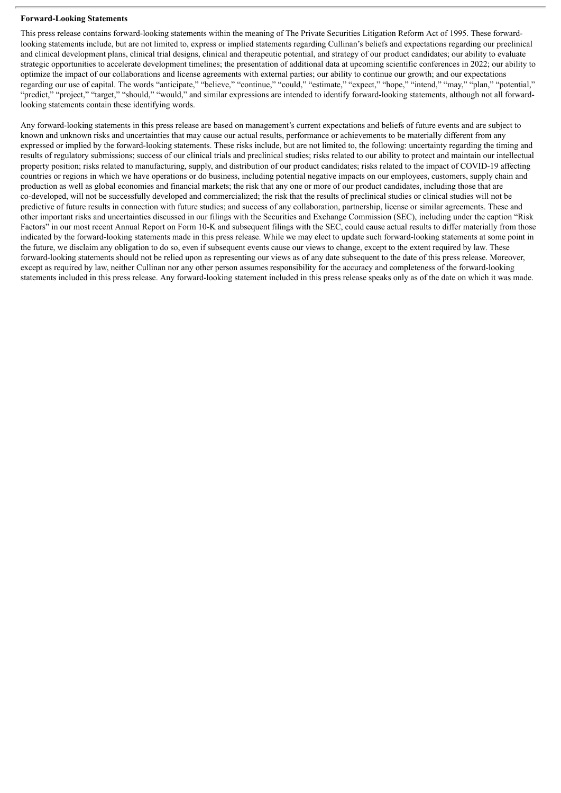#### **Forward-Looking Statements**

This press release contains forward-looking statements within the meaning of The Private Securities Litigation Reform Act of 1995. These forwardlooking statements include, but are not limited to, express or implied statements regarding Cullinan's beliefs and expectations regarding our preclinical and clinical development plans, clinical trial designs, clinical and therapeutic potential, and strategy of our product candidates; our ability to evaluate strategic opportunities to accelerate development timelines; the presentation of additional data at upcoming scientific conferences in 2022; our ability to optimize the impact of our collaborations and license agreements with external parties; our ability to continue our growth; and our expectations regarding our use of capital. The words "anticipate," "believe," "continue," "could," "estimate," "expect," "hope," "intend," "may," "plan," "potential," "predict," "project," "target," "should," "would," and similar expressions are intended to identify forward-looking statements, although not all forwardlooking statements contain these identifying words.

Any forward-looking statements in this press release are based on management's current expectations and beliefs of future events and are subject to known and unknown risks and uncertainties that may cause our actual results, performance or achievements to be materially different from any expressed or implied by the forward-looking statements. These risks include, but are not limited to, the following: uncertainty regarding the timing and results of regulatory submissions; success of our clinical trials and preclinical studies; risks related to our ability to protect and maintain our intellectual property position; risks related to manufacturing, supply, and distribution of our product candidates; risks related to the impact of COVID-19 affecting countries or regions in which we have operations or do business, including potential negative impacts on our employees, customers, supply chain and production as well as global economies and financial markets; the risk that any one or more of our product candidates, including those that are co-developed, will not be successfully developed and commercialized; the risk that the results of preclinical studies or clinical studies will not be predictive of future results in connection with future studies; and success of any collaboration, partnership, license or similar agreements. These and other important risks and uncertainties discussed in our filings with the Securities and Exchange Commission (SEC), including under the caption "Risk Factors" in our most recent Annual Report on Form 10-K and subsequent filings with the SEC, could cause actual results to differ materially from those indicated by the forward-looking statements made in this press release. While we may elect to update such forward-looking statements at some point in the future, we disclaim any obligation to do so, even if subsequent events cause our views to change, except to the extent required by law. These forward-looking statements should not be relied upon as representing our views as of any date subsequent to the date of this press release. Moreover, except as required by law, neither Cullinan nor any other person assumes responsibility for the accuracy and completeness of the forward-looking statements included in this press release. Any forward-looking statement included in this press release speaks only as of the date on which it was made.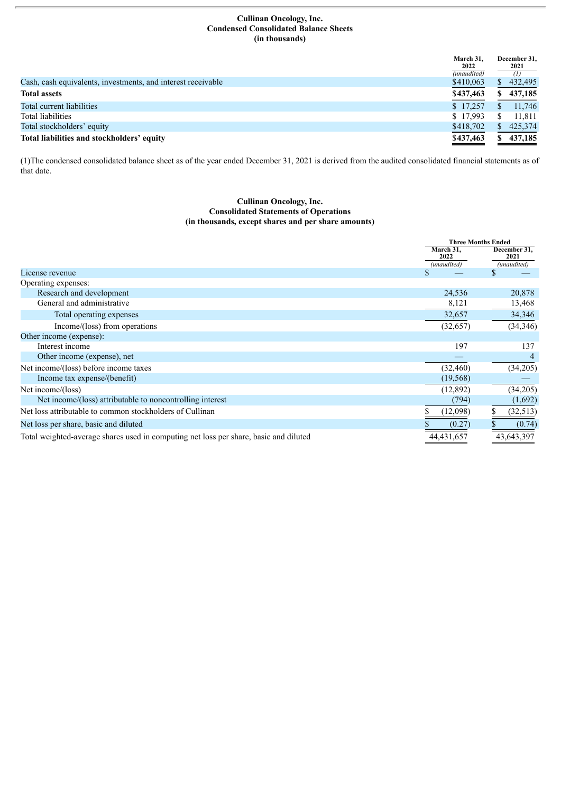#### **Cullinan Oncology, Inc. Condensed Consolidated Balance Sheets (in thousands)**

|                                                              | March 31.<br>2022 | December 31,<br>2021 |
|--------------------------------------------------------------|-------------------|----------------------|
|                                                              | (unaudited)       |                      |
| Cash, cash equivalents, investments, and interest receivable | \$410,063         | 432,495              |
| <b>Total assets</b>                                          | \$437,463         | 437,185              |
| Total current liabilities                                    | \$17,257          | 11,746               |
| Total liabilities                                            | \$17.993          | 11.811               |
| Total stockholders' equity                                   | \$418,702         | 425,374              |
| Total liabilities and stockholders' equity                   | \$437,463         | 437,185              |

(1)The condensed consolidated balance sheet as of the year ended December 31, 2021 is derived from the audited consolidated financial statements as of that date.

#### **Cullinan Oncology, Inc. Consolidated Statements of Operations (in thousands, except shares and per share amounts)**

|                                                                                       |                                  | <b>Three Months Ended</b>           |  |
|---------------------------------------------------------------------------------------|----------------------------------|-------------------------------------|--|
|                                                                                       | March 31,<br>2022<br>(unaudited) | December 31,<br>2021<br>(unaudited) |  |
| License revenue                                                                       |                                  | S                                   |  |
| Operating expenses:                                                                   |                                  |                                     |  |
| Research and development                                                              | 24,536                           | 20,878                              |  |
| General and administrative                                                            | 8,121                            | 13,468                              |  |
| Total operating expenses                                                              | 32,657                           | 34,346                              |  |
| Income/(loss) from operations                                                         | (32, 657)                        | (34,346)                            |  |
| Other income (expense):                                                               |                                  |                                     |  |
| Interest income                                                                       | 197                              | 137                                 |  |
| Other income (expense), net                                                           |                                  |                                     |  |
| Net income/(loss) before income taxes                                                 | (32, 460)                        | (34,205)                            |  |
| Income tax expense/(benefit)                                                          | (19, 568)                        |                                     |  |
| Net income/(loss)                                                                     | (12,892)                         | (34,205)                            |  |
| Net income/(loss) attributable to noncontrolling interest                             | (794)                            | (1,692)                             |  |
| Net loss attributable to common stockholders of Cullinan                              | (12,098)                         | (32, 513)                           |  |
| Net loss per share, basic and diluted                                                 | (0.27)                           | (0.74)                              |  |
| Total weighted-average shares used in computing net loss per share, basic and diluted | 44,431,657                       | 43,643,397                          |  |